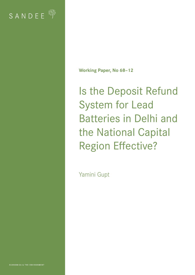

**Working Paper, No 68–12**

Is the Deposit Refund System for Lead Batteries in Delhi and the National Capital Region Effective?

Yamini Gupt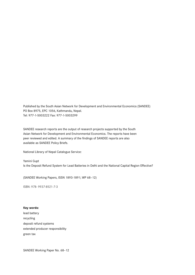Published by the South Asian Network for Development and Environmental Economics (SANDEE) PO Box 8975, EPC 1056, Kathmandu, Nepal. Tel: 977-1-5003222 Fax: 977-1-5003299

SANDEE research reports are the output of research projects supported by the South Asian Network for Development and Environmental Economics. The reports have been peer reviewed and edited. A summary of the findings of SANDEE reports are also available as SANDEE Policy Briefs.

National Library of Nepal Catalogue Service:

Yamini Gupt Is the Deposit Refund System for Lead Batteries in Delhi and the National Capital Region Effective?

(SANDEE Working Papers, ISSN 1893-1891; WP 68–12)

ISBN: 978- 9937-8521-7-3

#### **Key words:**

lead battery recycling deposit refund systems extended producer responsibility green tax

SANDEE Working Paper No. 68–12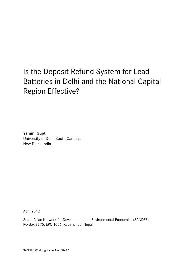# Is the Deposit Refund System for Lead Batteries in Delhi and the National Capital Region Effective?

**Yamini Gupt** University of Delhi South Campus New Delhi, India

April 2012

South Asian Network for Development and Environmental Economics (SANDEE) PO Box 8975, EPC 1056, Kathmandu, Nepal

SANDEE Working Paper No. 68–12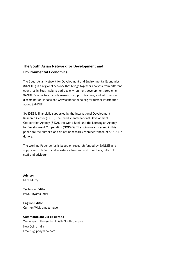## **The South Asian Network for Development and Environmental Economics**

The South Asian Network for Development and Environmental Economics (SANDEE) is a regional network that brings together analysts from different countries in South Asia to address environment-development problems. SANDEE's activities include research support, training, and information dissemination. Please see www.sandeeonline.org for further information about SANDEE.

SANDEE is financially supported by the International Development Research Center (IDRC), The Swedish International Development Cooperation Agency (SIDA), the World Bank and the Norwegian Agency for Development Cooperation (NORAD). The opinions expressed in this paper are the author's and do not necessarily represent those of SANDEE's donors.

The Working Paper series is based on research funded by SANDEE and supported with technical assistance from network members, SANDEE staff and advisors.

**Advisor** M.N. Murty

**Technical Editor** Priya Shyamsundar

**English Editor** Carmen Wickramagamage

#### **Comments should be sent to**

Yamini Gupt, University of Delhi South Campus New Delhi, India Email: ygupt@yahoo.com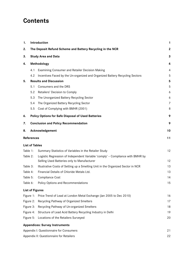## **Contents**

| 1.                    |     | Introduction                                                                                                                  | 1                |
|-----------------------|-----|-------------------------------------------------------------------------------------------------------------------------------|------------------|
| 2.                    |     | The Deposit Refund Scheme and Battery Recycling in the NCR                                                                    | $\boldsymbol{2}$ |
| 3.                    |     | <b>Study Area and Data</b>                                                                                                    | 3                |
| 4.                    |     | Methodology                                                                                                                   | 4                |
|                       | 4.1 | <b>Examining Consumer and Retailer Decision Making</b>                                                                        | 4                |
|                       | 4.2 | Incentives Faced by the Un-organized and Organized Battery Recycling Sectors                                                  | 5                |
| 5.                    |     | <b>Results and Discussion</b>                                                                                                 | 5                |
|                       | 5.1 | Consumers and the DRS                                                                                                         | 5                |
|                       | 5.2 | Retailers' Decision to Comply                                                                                                 | 6                |
|                       | 5.3 | The Unorganized Battery Recycling Sector                                                                                      | 6                |
|                       | 5.4 | The Organized Battery Recycling Sector                                                                                        | $\overline{7}$   |
|                       | 5.5 | Cost of Complying with BMHR (2001)                                                                                            | 8                |
| 6.                    |     | <b>Policy Options for Safe Disposal of Used Batteries</b>                                                                     | 9                |
| 7.                    |     | <b>Conclusion and Policy Recommendation</b>                                                                                   | 9                |
| 8.                    |     | Acknowledgement                                                                                                               | 10               |
| <b>References</b>     |     |                                                                                                                               | 11               |
| <b>List of Tables</b> |     |                                                                                                                               |                  |
| Table 1:              |     | Summary Statistics of Variables in the Retailer Study                                                                         | 12               |
| Table 2:              |     | Logistic Regression of Independent Variable 'comply' - Compliance with BMHR by<br>Selling Used Batteries only to Manufacturer | 12               |
| Table 3:              |     | Illustrative Costs of Setting up a Smelting Unit in the Organized Sector in NCR                                               | 13               |
| Table 4:              |     | Financial Details of Chloride Metals Ltd.                                                                                     | 13               |
| Table 5:              |     | <b>Compliance Cost</b>                                                                                                        | 14               |
| Table 6:              |     | Policy Options and Recommendations                                                                                            | 15               |
|                       |     | <b>List of Figures</b>                                                                                                        |                  |
| Figure 1:             |     | Price Trend of Lead at London Metal Exchange (Jan 2005 to Dec 2010)                                                           | 16               |
| Figure 2:             |     | Recycling Pathway of Organized Smelters                                                                                       | 17               |
| Figure 3:             |     | Recycling Pathway of Un-organized Smelters                                                                                    | 18               |
| Figure 4:             |     | Structure of Lead Acid Battery Recycling Industry in Delhi                                                                    | 19               |
| Figure 5:             |     | Locations of the Retailers Surveyed                                                                                           | 20               |
|                       |     | <b>Appendices: Survey Instruments</b>                                                                                         |                  |
|                       |     | Appendix I: Questionnaire for Consumers                                                                                       | 21               |
|                       |     | Appendix II: Questionnaire for Retailers                                                                                      | 22               |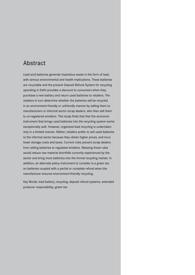## Abstract

Lead acid batteries generate hazardous waste in the form of lead, with serious environmental and health implications. These batteries are recyclable and the present Deposit Refund System for recycling operating in Delhi provides a discount to consumers when they purchase a new battery and return used batteries to retailers. The retailers in turn determine whether the batteries will be recycled in an environment-friendly or unfriendly manner by selling them to manufacturers or informal sector scrap dealers, who then sell them to un-registered smelters. This study finds that that the economic instrument that brings used batteries into the recycling system works exceptionally well. However, organized lead recycling is undertaken only in a limited manner. Rather, retailers prefer to sell used batteries to the informal sector because they obtain higher prices, and incur lower storage costs and taxes. Current rules prevent scrap dealers from selling batteries to regulated smelters. Relaxing these rules would reduce raw material shortfalls currently experienced by the sector and bring more batteries into the formal recycling market. In addition, an alternate policy instrument to consider is a green tax on batteries coupled with a partial or complete refund when the manufacturer ensures environment-friendly recycling.

Key Words: lead battery, recycling, deposit refund systems, extended producer responsibility, green tax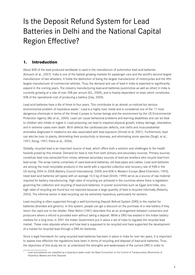# Is the Deposit Refund System for Lead Batteries in Delhi and the National Capital Region Effective?

## **1. Introduction**

About 80% of the lead produced worldwide is used in the manufacture of automotive lead acid batteries (Kreusch et al., 2007). India is one of the fastest growing markets for passenger cars and the world's second largest manufacturer of two wheelers. It holds the distinction of being the largest manufacturer of motorcycles and the fifth largest manufacturer of commercial vehicles. Thus, the demand and use of lead in India is expected to significantly expand in the coming years. The industry manufacturing lead-acid batteries (automotive as well as other) in India is currently growing at a rate of over 20% per annum (EIL, 2009), and is heavily dependent on lead, which constitutes 50% of the operational cost of producing a battery (Das, 2009).

Lead acid batteries have a life of three to four years. This contributes to an almost un-noticed but serious environmental problem of hazardous waste.<sup>1</sup> Lead is a highly toxic metal and is considered one of the 17 most dangerous chemicals in terms of the threat it poses to human beings and the environment by the US Environmental Protection Agency (Wu et al., 2004). Lead can cause behavioral problems and learning disabilities and can be fatal to children who inhale or ingest it. Lead poisoning can lead to impaired physical growth, kidney damage, retardation, and in extreme cases even death. Birth defects like cardiovascular defects, oral clefts and musculoskeletal anomalies diagnosed in newborns are also associated with lead exposure (Vinceti et al. 2001). Furthermore, lead can also be toxic to plants, diminishing their productivity or biomass, and eliminating some species (Singh, et al., 1997; Xiong, 1997; Patra et al., 2004).

Globally, recycled lead is an important source of lead, which offers both a solution and challenges to the health hazards posed by this mineral. Demand for lead is met from both primary and secondary sources. Primary sources constitute lead ores extracted from mines, whereas secondary sources of lead are smelters who recycle lead from lead scrap. The scrap mainly comprises of used lead-acid batteries, old lead pipes and cables. Lead acid batteries are among the most recyclable products in the world with a reported collection and recovery rate of 96% in the US during 2004 to 2008 (Battery Council International, 2009) and 85% in Western Europe (Bied-Charreton, 1993). Used lead acid batteries (all types) with an average 10.5 kg of lead (Smith, 1999) serve as a source of raw material required for battery manufacturing. High rates of recycling are achieved in the countries where there is legislation governing the collection and recycling of lead-acid batteries. In poorer economies such as Egypt and India, very high rates of recycling are found but not reported because a large quantity of lead is recycled informally (Roberts, 2003). The informal sector in lead recycling can be extremely hazardous, particularly for workers.

Lead recycling is often supported through a well-functioning Deposit Refund System (DRS) in the market for batteries (branded and generic). In this system, people can get a discount on the purchase of a new battery if they return the used one to the retailer. Peter Bohm (1981) describes this as an arrangement between consumers and producers where a refund is provided even without taking a deposit. While a DRS has existed in the Indian battery markets for a long time, in 2001 the Indian Government put in place a set of rules to regulate the recycled lead market. These rules stipulate where and how lead is supposed to be recycled and have supported the development of a market for recycled lead through a DRS for batteries.

Since a legal framework for using recycled lead batteries has been in place in India for over ten years, it is important to assess how effective the regulations have been in terms of recycling and disposal of lead-acid batteries. Thus, the objectives of this study are to: a) understand the strengths and weaknesses of the current DRS in order to

Lead acid batteries are classified as a hazardous waste under the Basel Convention on the Control of Transboundary Movements of Hazardous Wastes and their Disposal.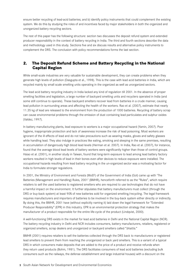ensure better recycling of lead-acid batteries; and b) identify policy instruments that could complement the existing system. We do this by studying the roles of and incentives faced by major stakeholders in both the organized and unorganized battery recycling sectors.

The rest of this paper has the following structure: section two discusses the deposit refund system and extended producer responsibility in the context of battery recycling in India. The third and fourth sections describe the data and methodology used in this study. Sections five and six discuss results and alternative policy instruments to complement the DRS. The conclusion with policy recommendations forms the last section.

## **2. The Deposit Refund Scheme and Battery Recycling in the National Capital Region**

While small-scale industries are very valuable for sustainable development, they can create problems when they generate high levels of pollution (Dasgupta et al., 1998). This is the case with lead acid batteries in India, which are recycled mainly by small scale smelting units operating in the organized as well as unorganized sectors.

The lead acid battery recycling industry in India lacked any kind of regulation till 2001. In the absence of proper smelting facilities and legislation, a large number of backyard smelting units and recyclers operated in India (and some still continue to operate). These backyard smelters recover lead from batteries in a crude manner, causing lead pollution in surrounding areas and affecting the health of the workers. Rao et al. (2007), estimate that nearly 11.35 kg of lead are released to the environment from the production of 1000 batteries. Recycling of battery scrap can cause environmental problems through the emission of dust containing lead particulates and sulphur oxides (Valdez, 1997).

In battery manufacturing plants, lead exposure to workers is a major occupational hazard (Yamin, 2007). Poor hygiene, inappropriate protection and lack of awareness increase the risk of lead poisoning. Most workers are ignorant of the ill effects of lead and do not take precautions such as wearing masks, gloves and safety glasses while handling lead. They also indulge in practices like eating, smoking and sleeping in the same premises, resulting in accumulation of dangerously high blood lead levels (Herman et al. 2007). In India, Rao et al. (2007), for instance, found that the average blood lead levels of battery workers were significantly higher than those of control groups. Hsiao et al. (2001), in another study in Taiwan, found that long-term exposure to lead among lead battery factory workers resulted in high levels of lead in their bones even after devices to reduce exposure were installed. The occupational hazards resulting from lead battery recycling in the un-organized sector was a motivating factor for India to formulate stronger regulations.

In 2001, the Ministry of Environment and Forests (MoEF) of the Government of India (GoI) came up with 'The Batteries (Management and Handling) Rules, 2001' (BMHR), henceforth referred to as the "Rules", which require retailers to sell the used batteries to registered smelters who are required to use technologies that do not have a harmful impact on the environment. It further stipulates that battery manufacturers must collect (through the DRS or buy-back system) at least 90% of new batteries sold for organized smelting/recycling. The legal framework requires manufacturers and importers of batteries to be involved in the buy-back system either directly or indirectly. By doing this, the BMHR, 2001 have (without explicitly naming it) laid down the legal framework for "Extended Producer Responsibility" (EPR) in this industry. EPR is an environmental protection strategy that makes the manufacturer of a product responsible for the entire life-cycle of the product (Lindqvist, 2000).

A well-functioning DRS exists in the market for lead acid batteries in Delhi and the National Capital Region (NCR). The battery recycling industry in Delhi and NCR includes consumers, battery manufacturers, retailers, registered or organized smelters, scrap dealers and unorganized or backyard smelters called "bhattis."

BMHR (2001) requires retailers to sell the batteries collected through the DRS back to manufacturers or registered lead smelters to prevent them from reaching the unorganized or back yard smelters. This is a variant of a typical DRS in which consumers make deposits that are added to the price of a product and receive refunds when they return used products (Bohm, 1981). The DRS facilitates consumers of lead acid batteries (excluding bulk consumers such as the railways, the defense establishment and large industrial houses) with a discount on the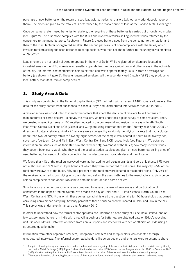purchase of new batteries on the return of used lead acid batteries to retailers (without any prior deposit made by them). The discount given by the retailers is determined by the market price of lead at the London Metal Exchange.<sup>2</sup>

Once consumers return used batteries to retailers, the recycling of these batteries is carried out through two modes (see Figure 2). The first mode complies with the Rules and involves retailers selling used batteries returned by the consumers to the manufacturers. As shown in Figure 2, a used battery goes from the consumer to the retailer and then to the manufacturer or organized smelter. The second pathway is of non-compliance with the Rules, which involves retailers selling the used batteries to scrap dealers, who then sell them further to the unorganized smelters or "bhattis."

Lead smelters are not legally allowed to operate in the city of Delhi. While registered smelters are located in industrial areas in the NCR, unregistered smelters operate from remote agricultural and other areas in the outskirts of the city. An informal sector smelter is able to extract lead worth approximately Rs. 515 from an average car battery (as shown in Figure 3). These unorganized smelters sell the secondary lead (ingots/"silli") they produce to local battery manufacturers or scrap dealers.

## **3. Study Area & Data**

This study was conducted in the National Capital Region (NCR) of Delhi with an area of 1483 square kilometers. The data for the study comes from questionnaire based surveys and unstructured interviews carried out in 2010.

A retailer survey was conducted to identify the factors that affect the decision of retailers to sell batteries to manufacturers or scrap dealers. To survey the retailers, we first undertook a pilot survey of some retailers. Then, we created a sampling frame of 150 retailers located in the commercial and residential areas of North, South, East, West, Central Delhi and NCR (Vaishali and Gurgaon) using information from the "Battery Year Book-2005", a directory of battery retailers. Finally 96 retailers were surveyed by randomly identifying markets that had a cluster (more than two) of battery retailers.<sup>3</sup> Twenty-eight percent of the sample was located in South Delhi, twenty-two, seventeen, fourteen, 12% and 7% in East, West, Central Delhi and NCR respectively (see Figure 4).We obtained information on issues such as their status (authorized or not); awareness of the Rules; how many used batteries they bought back every week; who they sold the used batteries to; discount given on new batteries; selling price of used batteries; frequency of battery collection by manufacturer and scrap dealer and their location.

We found that 44% of the retailers surveyed were 'authorized' to sell certain brands and sold only those, 17% were not authorized and 35% sold multiple brands of which they were authorized to sell some. The majority (65%) of the retailers were aware of the Rules. Fifty-four percent of the retailers were located in residential areas. Only 26% of the retailers admitted to complying with the Rules and selling the used batteries to the manufacturers. Sixty percent sold to scrap dealers and about 13% sold to both manufacturer and scrap dealers.

Simultaneously, another questionnaire was prepared to assess the level of awareness and participation of consumers in the deposit refund system. We divided the city of Delhi and NCR into 6 zones: North, South, East, West, Central and NCR. From within these zones, we administered the questionnaire to 106 households that owned cars using convenience sampling. Seventy percent of these households were located in Delhi and 30% in the NCR. This survey was undertaken in January and February 2010.

In order to understand how the formal sector operates, we undertook a case study of Exide India Limited, one of few battery manufacturers in India with a recycling business for batteries. We obtained data on Exide's recycling unit—Chloride Metals. Data was obtained from annual reports and interviews with senior officials of Exide using a structured questionnaire.

Information from other organized smelters, unorganized smelters and scrap dealers was collected through unstructured interviews. The informal sector stakeholders like scrap dealers and smelters were reluctant to share

The price of lead (primary lead from mines and secondary lead from recycling of the used batteries) depends on the market price guided by the London Metal Exchange (LME). Figure 1 shows the trend of lead price (US\$/Ton) of the last five years from Jan 2005 to December 2010

<sup>(</sup>LME). Variation in the price of lead at LME has a direct impact on the price of the new and used batteries and recycling scrap.<br>We chose this method of sampling because some of the shops mentioned in the directory had eit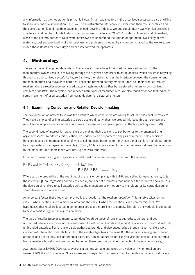any information as their operation is primarily illegal. Small lead smelters in the organized sector were also unwilling to share any financial information. Thus, we used unstructured interviews to understand their role, incentives and the socio-economic and health impacts in the lead recycling industry. We undertook interviews with five organized smelters in addition to Chloride Metals. The unorganized smelters or "Bhattis" located in Mandoli and Ghaziabad, close to the eastern border of Delhi were interviewed to understand their mode of operation, availability of raw materials, cost and profitability of their business and problems including health concerns faced by the workers. We visited these Bhattis for seven days and had interviewed ten operators.

#### **4. Methodology**

The entire chain of recycling depends on the retailers' choice to sell the used batteries either back to the manufacturer (which results in recycling through the organized sector) or to scrap dealers (which results in recycling through the unorganized sector). As Figure 5 shows, the retailer acts as the interface between the consumer and the manufacturer and recycler of batteries. Local and branded battery manufacturers sell their product through retailers. Once a retailer receives a used battery it gets recycled either by registered smelters or unorganized smelters/ "bhattis". The recycled lead reaches both types of manufacturers. We also found evidence that indicates some movement of used batteries from scrap dealers to registered smelters.

#### **4.1 Examining Consumer and Retailer Decision-making**

The first question of interest to us was the extent to which consumers are willing to sell batteries back to retailers. They have a choice of selling batteries to scrap dealers directly, thus, we probed this issue through surveys and report some simple evidence of very high levels of awareness and participation in the buy-back system (DRS).

The second issue of interest is how retailers are making their decisions to sell batteries to the organized or unorganized sector. To address this question, we undertook an econometric analysis of retailers' sales decisions. Retailers face a dichotomous choice of who to sell the used batteries to – they can either sell it to manufacturers or to scrap dealers. The dependent variable (Y) "comply" takes on a value of one when retailers sell used batteries only to the manufacturer (compliance with BMHR) and zero otherwise.

Equation 1 presents a logistic regression model used to analyze the responses from the retailers:

P = Probability (Y=1 | X<sub>1</sub> = x<sub>1</sub>, X<sub>2</sub> = x<sub>2</sub>-1) = ln [π / (1-π)]  
= 
$$
\beta_0 + \beta_1 X_1 + \beta_2 X_2 + \dots + \beta_p X_p
$$
 (1)

Where  $\pi$  is the probability of the event i.e. of the retailer complying with BMHR and selling to manufacturers,  $\beta_{_0}$  is the intercept,  $\beta_{\rm p}$  are regression coefficients and  $X_{\rm p}$  are a set of predictors that influence the retailer's decision. Y is the decision of retailers to sell batteries only to the manufacturer or not only to manufacturer (to scrap dealers or scrap dealers and manufacturers).

An important factor that affects compliance is the location of the retailers (location). This variable takes on the value 0 when location is in a residential area and the value 1 when the location is in a commercial area. We hypothesize that retailers located in commercial areas are more likely to comply. Therefore this variable is expected to have a positive sign in the regression model.

The type of retailer (type) also matters. We identified three types of retailers: authorized, general and both. Authorized retailers are those who are authorized to sell certain brands and general retailers are those that sell only un-branded batteries. Some retailers sold authorized brands and also unauthorized brands – such retailers were clubbed with the authorized retailers. Thus, the variable type takes the value 0 if the retailer is selling any branded batteries and 1 if he only sells un-branded batteries. A manufacturer is not likely to visit and collect used batteries from a retailer who sells only un-branded batteries, therefore, this variable is expected to have a negative sign.

Awareness about BMHR, 2001 (awareness) is a dummy variable and takes on a value of 1 when retailers are aware of BMHR and 0 otherwise. Since awareness is expected to increase compliance, this variable should have a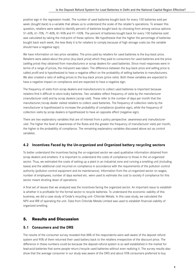positive sign in the regression model. The number of used batteries bought back for every 100 batteries sold per week (bought back) is a variable that allows us to understand the scale of the retailer's operations. To answer this question, retailers were asked to identify percent of batteries bought back by choosing from among various options: 51-60%, 61-70%, 71-80%, 81-90% and 91-100%. The percent of batteries bought back for every 100 batteries sold was calculated by taking the mid-point of these options. We hypothesize that the higher the percentage of batteries bought back each week, the less likely it is for retailers to comply because of high storage costs (so the variable should have a negative sign).

We have information on two price variables. The price paid by retailers for used batteries is the buy-back price. Retailers were asked about the price (buy-back price) which they paid to consumers for used batteries and the price (selling price) they obtained from manufacturers or scrap dealers for used batteries. Since most responses were in terms of a range of prices, the mid-point was taken. The difference between the buy-back price and selling price is called *profit* and is hypothesized to have a negative effect on the probability of selling batteries to manufacturers. We also created a ratio of selling prices to the buy-back prices (price ratio). Both these variables are expected to have a negative impact on compliance and are expected to have a negative sign.

The frequency of visits from scrap dealers and manufacturers to collect used batteries is important because retailers find it difficult to store bulky batteries. Two variables reflect frequency of visits by the manufacturer (manufacturer visit) and by scrap dealers (scrap visit). These refer to the number of days per month that the manufacturer/scrap dealer visited retailers to collect used batteries. The frequency of collection visits by the manufacturer is hypothesized to increase the probability of compliance (positive sign), while the frequency of collection visits by scrap dealers is hypothesized to have an opposite effect (negative sign).

There are two explanatory variables that are of interest from a policy perspective: awareness and manufacturer visit. The higher the level of awareness of the Rules and the greater the frequency of manufacturer visits per month, the higher is the probability of compliance. The remaining explanatory variables discussed above act as control variables.

### **4.2 Incentives Faced by the Un-organized and Organized battery recycling sectors**

To better understand the incentives facing the un-organized sector we used qualitative information obtained from scrap dealers and smelters. It is important to understand the costs of compliance to those in the un-organized sector. Thus, we estimated the costs of setting up a plant in an industrial zone and running a smelting unit (including taxes) and the additional cost incurred on compliance in accordance with the requirements of the pollution control authority (pollution control equipment and its maintenance). Information from the un-organized sector on wages, number of employees, number of days worked etc. were used to estimate the cost to society if compliance for this sector meant shutting down of operations

A final set of issues that we analyzed was the incentives facing the organized sector. An important issue to establish is whether it is profitable for the formal sector to recycle batteries. To understand the economic viability of this business, we did a case study of Exide's recycling unit—Chloride Metals. In this case study, we calculated the NPV and IRR of operating the unit. Data from Chloride Metals Limited was used to establish financial viability of organized smelting.

## **5. Results and Discussion**

#### **5.1 Consumers and the DRS**

The results of the consumer survey revealed that 88% of the respondents were well aware of the deposit refund system and 90% of them returned their used battery back to the retailers irrespective of the discount price. The difference in these numbers could be because the deposit-refund system is so well established in the market for lead-acid batteries that some people return/recycle used batteries without even realizing it. The survey results also show that the average consumer in our study was aware of the DRS and about 95% consumers preferred to buy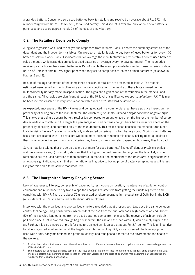a branded battery. Consumers sold used batteries back to retailers and received on average about Rs. 372 (this number ranged from Rs. 200 to Rs. 500) for a used battery. This discount is available only when a new battery is purchased and covers approximately 9% of the cost of a new battery.

### **5.2 The Retailers' Decision to Comply**

A logistic regression was used to analyze the responses from retailers. Table 1 shows the summary statistics of the dependent and the independent variables. On average, a retailer is able to buy back 69 used batteries for every 100 batteries sold in a week. Table 1 indicates that on average the manufacturer's representatives collect used batteries twice a month, while scrap dealers collect used batteries on average every 10 days per month. The mean price retailers pay for buying back used batteries is Rs. 416 while the mean price retailers get for these batteries is about Rs. 456.4 Retailers obtain 0.9% higher price when they sell to scrap dealers instead of manufacturers (as shown in Figures 2 and 3).

Results of the logit estimation of the compliance decision of retailers are presented in Table 2. The models estimated were tested for multicollinearity and model specification. The results of these tests showed neither multicollinearity nor any model misspecification. The signs and significance of the variables in the models I and II are the same. All variables are significant at least at the 5% level of significance except manufacturer visit. This may be because this variable has very little variation with a mean of 2, standard deviation of 5.38.

As expected, awareness of the BMHR rules and being located in a commercial area, have a positive impact on the probability of selling only to the manufacturer. The variables type, scrap visit and bought back have negative signs. This shows that being a general battery retailer (as compared to an authorized one), the higher the number of scrap dealer visits in a month, and the larger the percentage of used batteries bought back have a negative effect on the probability of selling used batteries only to the manufacturer. This makes sense because the manufacturer is not likely to visit a 'general' retailer (who sells only un-branded batteries) to collect battery scrap. Storing used batteries has a cost associated with it, so retailers would be more inclined to reduce this cost by selling to scrap dealers if they come to collect often. How many batteries they have to store would also depend on how many they buy back.

Several retailers told us that the scrap dealers pay more for used batteries.<sup>5</sup> The coefficient of *profit* is significant and has a negative sign (in model I), showing that the higher the profit earned by recycling the less likely it is for retailers to sell the used batteries to manufacturers. In model II, the coefficient of the *price ratio* is significant with a negative sign indicating again that as the ratio of selling price to buying price of battery scrap increases, it is less likely for this scrap to be sold to manufacturers.

#### **5.3 The Unorganized Battery Recycling Sector**

Lack of awareness, illiteracy, complexity of paper work, restrictions on location, maintenance of pollution control equipment and reluctance to pay taxes keeps the unorganized smelters from getting their units registered and complying with BMHR. There are about 70 unorganized smelters operating in the outskirts of Delhi but in the NCR (40 in Mandoli and 30 in Ghaziabad) with about 840 employees.

Interviews with the organized and unorganized smelters revealed that at present both types use the same pollution control technology – bag-house filters, which collect the ash from the flue. Ash has a high content of lead. Almost 50% of the recycled lead obtained from the used batteries comes from this ash. The recovery of ash controls air pollution since if not recovered through bag-house filters, the ash and the lead within it, would simply linger in the air. Further, it is also a source of profit for smelters as lead ash is valued at about Rs. 2/- per kg. This is an incentive for all unorganized smelters to install the bag–house filter technology. But, as we observed, the filter equipment used was crude, badly maintained and prone to leakage and thus posed a threat to the environment and health of the workers.

<sup>4</sup> A paired t-test shows that we can reject the null hypothesis of no difference between the mean buy-back price and mean selling price at the 1% level of significance

<sup>5</sup> Scrap dealers buy back used batteries based on their lead content. The price of lead is determined by the daily price of lead on the LME. The scrap dealers may therefore be able to pass on large daily variations in the price of lead which manufacturers may not because of a fixed price that is changed periodically.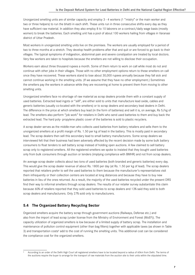Unorganized smelting units are of similar capacity and employ 3 - 4 workers (1 "mistry" or the main worker and two or three helpers) to run the bhatti in each shift. These units run in three consecutive shifts every day as they have sufficient raw material. In addition they also employ 8 to 10 laborers on a contract/daily wage basis (mostly women) to break the batteries. Each smelting unit has a pool of about 100 workers hailing from villages in Varanasi district of Uttar Pradesh.

Most workers in unorganized smelting units live on the premises. The workers are usually employed for a period of two to three months at a stretch. They develop health problems after that and quit or are forced to go back to their villages. The typical symptoms of indigestion, abdominal pain and severe constipation are treated by local doctors. Very few workers are taken to hospitals because the smelters are not willing to disclose their occupation.

Workers earn about three thousand rupees a month. Some of them return to work on call while most do not and continue with other jobs in their villages. Those with no other employment options return to these smelters on call once they have recovered. These workers stand to lose about 30,000 rupees annually because they fall sick and cannot continue working in the smelting units. (If we assume that they have no other employment.) Sometimes the smelters pay the workers in advance while they are recovering at home to prevent them from moving to other smelting units.

Unorganized smelters face no shortage of raw material as scrap dealers provide them with a constant supply of used batteries. Extracted lead ingots or "silli", are either sold to units that manufacture lead oxide, cables and generic batteries (usually co-located with the smelters) or to scrap dealers and secondary lead dealers in Delhi. The difference in the price at which smelters buy lead (in the form of batteries) and sell it is, on average, Rs 5/kg of lead. The smelters also perform "job work" for retailers in Delhi who send used batteries to them and buy back the extracted lead. The hard poly- propylene plastic cover of the batteries is sold to plastic recyclers.

A scrap dealer serves as the middle-man who collects used batteries from battery retailers and sells them to the unorganized smelters at a profit margin of Rs. 1.50 per kg of lead in the battery. This is mostly paid in secondary lead. The scrap dealers then sell this secondary lead to small battery manufacturers. Some scrap dealers we interviewed felt that their business had been adversely affected by the recent decision made by some bulk battery consumers to float tenders to sell battery scrap instead of holding open auctions. A few claimed to sell battery scrap only to registered smelters. All the registered smelters we spoke to insisted that they bought used batteries only from bulk consumers through auction or tenders (implying compliance with BMHR) and not from scrap dealers.

An average scrap dealer collects about two tons of used batteries (both branded and generic batteries) every day. This would give the scrap dealer revenue of about Rs. 1800 per day (at Rs. 1.50 per kg of lead). The scrap dealers reported that retailers prefer to sell the used batteries to them because the manufacturer's representatives visit them infrequently or their collection centers are located at long distances and because they have to buy new batteries in lieu of the ones returned. As a result, the majority of the used batteries recycled under the present DRS find their way to informal smelters through scrap dealers. The results of our retailer survey substantiate this claim because 60% of retailers reported that they sold used batteries to scrap dealers and 13% said they sold to both scrap dealers and manufacturers. Only 27% sold only to manufacturers.

## **5.4 The Organized Battery Recycling Sector**

Organized smelters acquire the battery scrap through government auctions (Railways, Defense etc.) and also from the import of lead scrap (under license from the Ministry of Environment and Forest (MoEF)). The capacity utilization of organized smelters is low because of a limited supply of battery scrap. The installation and maintenance of pollution control equipment (other than bag filters) together with applicable taxes (as shown in Table 3) and transportation costs<sup>6</sup> add to the cost of running the smelting units. This additional cost can be considered the compliance cost for the organized smelters.

According to an order of the Delhi High Court all registered smelters have to be located beyond a radius of 60km from Delhi. The terms of the auctions require the buyer to arrange for the transport of raw materials from the auction site to their units within the stipulated time.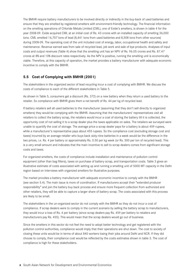The BMHR require battery manufacturers to be involved directly or indirectly in the buy-back of used batteries and ensure that they are smelted by registered smelters with environment-friendly technology. The financial information on the smelting operations of Chloride Metals Limited (CML), one of Exide's smelters, is shown in table 4 for the year 2008-09. Exide acquired CML at an initial cost of Rs. 43 crores with an installed capacity of smelting 36,000 tons. CML smelted 16,707 tons of lead (8,441 tons from used batteries and 8,508 tons from other sources) during 2008-09. The operating cost of the unit included cost of energy, labor, occupational health and safety and maintenance. Revenue earned was from sale of recycled lead, job work and sale of bye products. Analyses of input costs and output revenues (Table 4) show that the smelting unit has an NPV of Rs. 96.05 crores and Rs. 87.47 crores at 8% and 10% discount rates respectively. As the NPV is positive, running the smelting unit is economically viable. Therefore, at this capacity of operation, the market provides a battery manufacturer with adequate economic incentive to comply with the BMHR.

#### **5.5 Cost of Complying with BMHR (2001)**

The stakeholders in the organized sector of lead recycling incur a cost of complying with BMHR. We discuss the costs of compliance to each of the different stakeholders in Table 5.

As shown in Table 5, consumers get a discount (Rs. 372) on a new battery when they return a used battery to the retailer. So compliance with BMHR gives them a net benefit of Rs. 44 per kg of recycled lead.

If battery retailers sell all used batteries to the manufacturer (assuming that they don't sell directly to organized smelters) they would be complying with the BMHR. Assuming that the manufacturers' representatives visit all retailers to collect the battery scrap, the retailers would incur a cost of storing the battery till it is collected, the opportunity cost of not selling it to a scrap dealer plus the taxes applicable on sales. The retailers we surveyed were unable to quantify the cost of storage. The average price a scrap dealer pays for a battery is about 459 rupees, while a manufacturer's representative pays about 455 rupees. So the compliance cost (excluding storage cost and taxes) incurred by an average retailer who buys back sixty-nine batteries in a week would be the difference in the two prices, i.e. Rs. 4 per battery or approximately Rs. 0.50 per kg week (or Rs. 500 per ton of recycled lead). This is a very small amount and indicates that the main incentive to sell to scrap dealers comes from significant storage costs and taxes.

For organized smelters, the costs of compliance include installation and maintenance of pollution control equipment (other than bag filters), taxes on purchase of battery scrap, and transportation costs. Table 3 gives an illustrative estimate of costs associated with setting up and running a smelting unit of 5000 MT capacity in the Delhi region based on interviews with organized smelters for illustrative purposes.

The market provides a battery manufacturer with adequate economic incentive to comply with the BMHR (see section 5.4). The main issue is more of coordination. If manufacturers accept their "extended producer responsibility" and join the battery buy back process and ensure more frequent collection from authorized and other retailers, they will be able to capture a larger share of battery scrap. The costs associated with this process are likely to be small.

The stakeholders in the un-organized sector do not comply with the BMHR so they do not incur a cost of compliance. If scrap dealers were to comply in the current scenario by selling the battery scrap to manufacturers, they would incur a loss of Rs. 4 per battery (since scrap dealers pay Rs. 459 per battery to retailers and manufacturers pay Rs. 455). This would mean that the scrap dealers would go out of business.

Since the smelters in this sector do not feel the need to adopt better technology and get registered with the pollution control authorities, compliance would imply that their operations are shut down. The cost to society of closing these units would be in terms of about 840 workers losing their jobs around Delhi and NCR. If they did choose to comply, their compliance cost would be reflected by the costs estimates shown in table 3. The cost of compliance is high for these stakeholders.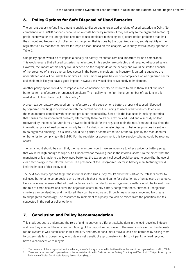## **6. Policy Options for Safe Disposal of Used Batteries**

The current deposit refund instrument is unable to discourage unorganized smelting of used batteries in Delhi. Noncompliance with BMHR happens because of: a) costs borne by retailers if they sell only to the organized sector; b) profit incentives for the unorganized smelters to use inefficient technologies; c) coordination problems that limit the amount and frequency of collection and recycling that is done by the organized sector; and d) inability of the regulator to fully monitor the market for recycled lead. Based on this analysis, we identify several policy options in Table 6.

One policy option would be to impose a penalty on battery manufacturers and importers for non-compliance. This would ensure that all used batteries manufactured in this sector are collected and recycled/disposed safely. However, the impact of this policy would depend on the magnitude of the penalty and would be limited because of the presence of a large unorganized sector in the battery manufacturing industry.7 Monitoring agencies are understaffed and will be unable to monitor all units. Imposing penalties for non-compliance on all organized sector stakeholders is likely to have a good impact. However, this would also prove costly to implement.

Another policy option would be to impose a non-compliance penalty on retailers to make them sell all the used batteries to manufacturers or organized smelters. The inability to monitor the large number of retailers in this market would limit the impact of this policy.<sup>8</sup>

A green tax per battery produced on manufacturers and a subsidy for a battery properly disposed (disposed by organized smelting) in combination with the current deposit refunding to users of batteries could ensure the manufacturer complies with extended producer responsibility. Since it is the lead used in making batteries that causes the environmental problem, alternatively there could be a tax on lead used and a subsidy on lead recovered by the manufacturer. It may however be difficult for the regulator to fix the rate/amount of tax since the international price of lead varies on a daily basis. A subsidy on the safe disposal of batteries provides incentives to do organized-smelting. This subsidy could be a partial or complete refund of the tax paid by the manufacturer on batteries for complying with BMHR. For the regulator or government, this tax-subsidy scheme could be revenue neutral.

The tax amount should be such that, the manufacturer would have an incentive to offer a price for battery scrap that would be high enough to wipe out all incentives for recycling lead in the informal sector. To the extent that the manufacturer is unable to buy back used batteries, the tax amount collected could be used to subsidize the use of clean technology in the informal sector. The presence of the unorganized sector in battery manufacturing would limit the impact of this policy tool.

The next two policy options target the informal sector. Our survey results show that 60% of the retailers prefer to sell used batteries to scrap dealers who offered a higher price and came for collection as often as every three days. Hence, one way to ensure that all used batteries reach manufacturers or organized smelters would be to legitimize the role of scrap dealers and allow the organized sector to buy battery scrap from them. Further, if unorganized smelters can be identified and monitored, they can be encouraged through financial assistance and tax breaks to adopt green technology. The resources to implement this policy tool can be raised from the penalties and tax suggested in the earlier policy options.

## **7. Conclusion and Policy Recommendation**

This study set out to understand the role of and incentives to different stakeholders in the lead recycling industry and how they affected the efficient functioning of the deposit refund system. The results indicate that the depositrefund system is well established in this industry and 90% of consumers recycle lead-acid batteries by selling them to battery retailers. Consumers, who obtain a net benefit of approximately Rs. 44 to 49 per kg of lead recycled, have a clear incentive to recycle.

The presence of the unorganized sector in battery manufacturing is reported to be three times the size of the organized sector (EIL, 2009).

There are more than 600 organized sector battery retailers listed in Delhi as per the Battery Directory and Year Book 2010 published by the Federation of Indian Small Scale Battery Associations (Regd.)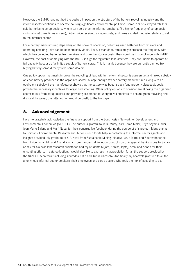However, the BMHR have not had the desired impact on the structure of the battery recycling industry and the informal sector continues to operate causing significant environmental pollution. Some 73% of surveyed retailers sold batteries to scrap dealers, who in turn sold them to informal smelters. The higher frequency of scrap dealer visits (almost three times a week), higher price received, storage costs, and taxes avoided motivate retailers to sell to the informal sector.

For a battery manufacturer, depending on the scale of operation, collecting used batteries from retailers and operating smelting units can be economically viable. Thus, if manufacturers simply increased the frequency with which they collected batteries from retailers and bore the storage costs, they would be in compliance with BMHR. However, the cost of complying with the BMHR is high for registered lead smelters. They are unable to operate at full capacity because of a limited supply of battery scrap. This is mainly because they are currently banned from buying battery scrap directly from scrap dealers.

One policy option that might improve the recycling of lead within the formal sector is a green tax and linked subsidy on each battery produced in the organized sector. A large enough tax per battery manufactured along with an equivalent subsidy if the manufacturer shows that the battery was bought back (and properly disposed), could provide the necessary incentives for organized smelting. Other policy options to consider are allowing the organized sector to buy from scrap dealers and providing assistance to unorganized smelters to ensure green recycling and disposal. However, the latter option would be costly to the tax payer.

## **8. Acknowledgement**

I wish to gratefully acknowledge the financial support from the South Asian Network for Development and Environmental Economics (SANDEE). The author is grateful to M.N. Murty, Karl Goran Maler, Priya Shyamsundar, Jean Marie Baland and Mani Nepal for their constructive feedback during the course of this project. Many thanks to Chintan - Environmental Research and Action Group for its help in contacting the informal sector agents and insights provided. My gratitude to K.P. Nyati from Sustainable Mining Initiative, Arun Mittal and Sourav Banerjee from Exide India Ltd., and Anand Kumar from the Central Pollution Control Board. A special thanks is due to Samraj Sahay for his excellent research assistance and my students Sujata, Kanika, Japtej, Amol and Anoop for their unstinting efforts in data collection. I would also like to express my appreciation for all the support provided by the SANDEE secretariat including Anuradha Kafle and Krisha Shreshta. And finally my heartfelt gratitude to all the anonymous informal sector smelters, their employees and scrap dealers who took the risk of speaking to us.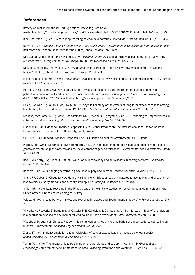## **References**

Battery Council International, (2009) National Recycling Rate Study. Available at http://www.batterycouncil.org/LinkClick.aspx?fileticket=fnM%2f%2fCsWoQE%3d&tabid=145&mid=553

Bied-Charreton, B (1993) 'Closed loop recycling of lead/acid batteries'. *Journal of Power Sources* 42 (1–2): 331–334

Bohm, P (1981) '*Deposit Refund Systems: Theory and Applications to Environmental Conservation and Consumer Policy*'. Baltimore and London: Resources for the Future, Johns Hopkins Univ. Press

Das Capital Management and Advisors (2009) *Research Report*. Available at http://dascap.com/house\_view\_pdf/ Automotive%20Battery%20Industry%20Sep%202009.pdf (Accessed on 6th January 2012)

Dasgupta, S; Lucas, REB; Wheeler, D (1998) 'Small Plants, Pollution and Poverty: New Evidence From Brazil and Mexico', DECRG; Infrastructure Environment Group, World Bank

Exide India Limited (2009) 62nd *Annual report*. Available at: http://www.exideindustries.com/reports/EIL-AR-2009.pdf (Accessed on 6th January 2011)

Herman, D; Geraldine, SM; Venkatesh, T (2007) 'Evaluation, diagnosis, and treatment of lead poisoning in a patient with occupational lead exposure: a case presentation'. *Journal of Occupational Medicine and Toxicology* 2:7 doi:10.1186/1745-6673-2-7. Available at http://www.occup-med.com/content/2/1/7

Hsiao, CY; Wua, HI; Lai, JS; Kuoa, HW (2001) 'A longitudinal study of the effects of long-term exposure to lead among lead battery factory workers in Taiwan (1989-1999)'. *The Science of the Total Environment* 279: 151-158

Kreusch, MA; Ponte, MJJS; Ponte, HA; Kaminari, NMS; Marino, CEB; Mymrin, V (2007) 'Technological improvements in automotive battery recycling'. *Resources, Conservation and Recycling* 52: 368–380

Lindqvist (2000) 'Extended Producer Responsibility in Cleaner Production' The International Institute for Industrial Environmental Economics. Lund University, Lund, Sweden

OECD (2001) 'Extended Producer Responsibility: A Guidance Manual for Governments. OECD, Paris

Patra, M; Bhowmik, N; Bandopadhyay, B; Sharma, A (2004)'Comparison of mercury, lead and arsenic with respect to genotoxic effects on plant systems and the development of genetic tolerance'. *Environmental and Experimental Botany* 52: 199-223

Rao, GM; Shetty, BV; Sudha, K (2007) 'Evaluation of lead toxicity and antioxidants in battery workers'. *Biomedical Research* 19 (1): 1-4

Roberts, H (2003) 'Changing patterns in global lead supply and demand'. *Journal of Power Sources* 116: 23–31

Singh, RP; Dabas, S; Choudhary, A; Maheshwari, R (1997) 'Effect of lead onnitratereductase activity and alleviation of lead toxicity by inorganic salts and 6-benzylaminopurine'. *Biologia Plantarum* 40: 339-404

Smith, GR (1999) 'Lead recycling in the United States in 1998. Flow studies for recycling metal commodities in the United States', United States Geological Survey

Valdez, H (1997) 'Lead battery markets and recycling in Mexico and South America'. *Journal of Power Sources* 67:219– 23

Vincetia, M; Rovestia, S; Bergomia, M; Calzolarib, E; Candelac, S; Campagna, A; Milan, M (2001) 'Risk of birth defects in a population exposed to environmental lead pollution'. *The Science of the Total Environment* 278: 23-30

Wu, LH; Li, H; Luo, YM; Christie, P (2004) 'Nutrients can enhance phytoremediation of copper-polluted soil by Indian mustard'. *Environmental Geochemistry and Health* 26: 331-335

Xiong, ZT (1997) 'Bioaccumulation and physiological effects of excess lead in a roadside pioneer species *Sonchusoleraceus L*'. *Environmental Pollution* 97: 275–279

Yamin, VS (1999) 'The impact of lead poisoning on the workforce and society' In Abraham M George (Eds). *Proceedings of the International Conference on Lead Poisoning, Prevention and Treatment* 1999; Feb 8-10: 41-45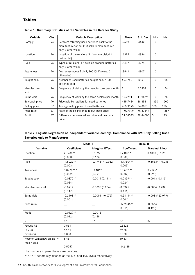## **Tables**

| Variable              | Obs. | <b>Variable Description</b>                                                                                             | Mean     | Std. Dev. | Min      | Max   |
|-----------------------|------|-------------------------------------------------------------------------------------------------------------------------|----------|-----------|----------|-------|
| Comply                | 94   | Retailers returning used batteries back to the<br>manufacturer or not (1 if sells to manufacturer<br>only, 0 otherwise) | .2659    | .4442     | $\Omega$ |       |
| Location              | 96   | Location of the retailers (1 if commercial, 0 if<br>residential)                                                        | .4375    | .4986     | $\Omega$ |       |
| <b>Type</b>           | 96   | Types of retailers (1 if sells un-branded batteries<br>only, 0 otherwise)                                               | .3437    | .4774     | $\Omega$ |       |
| Awareness             | 96   | Awareness about BMHR, 2001(1 if aware, 0<br>otherwise)                                                                  | .3541    | .4807     | $\Omega$ |       |
| Bought back           | 96   | Number of used batteries bought back/100<br>batteries sold                                                              | 69.3750  | 32.51     | $\Omega$ | 95    |
| Manufacturer<br>visit | 96   | Frequency of visits by the manufacturer per month                                                                       | 2        | 5.3802    | $\Omega$ | 26    |
| Scrap visit           | 96   | Frequency of visits by the scrap dealers per month                                                                      | 10.2291  | 11.9679   | $\Omega$ | 26    |
| Buy-back price        | 90   | Price paid by retailers for used batteries                                                                              | 415.7444 | 28.3511   | 350      | 500   |
| Selling price         | 87   | Average selling price of used batteries                                                                                 | 455.9195 | 34.8061   | 375      | 575   |
| Price ratio           | 87   | Ratio of the selling price to buy-back price                                                                            | 1.097999 | .0737344  |          | 1.357 |
| Profit                | 87   | Difference between selling price and buy back<br>price                                                                  | 39.54023 | 29.44005  | $\Omega$ | 125   |

**Table 1: Summary Statistics of the Variables in the Retailer Study**

#### **Table 2: Logistic Regression of Independent Variable 'comply'- Compliance with BMHR by Selling Used Batteries only to Manufacturer**

| Model I                    |                    |                        | <b>Model II</b>    |                        |
|----------------------------|--------------------|------------------------|--------------------|------------------------|
| Variable                   | <b>Coefficient</b> | <b>Marginal Effect</b> | <b>Coefficient</b> | <b>Marginal Effect</b> |
| Location                   | $2.1738**$         | 0.1092                 | $2.2182**$         | 0.1090(0.169)          |
|                            | (0.033)            | (0.176)                | (0.030)            |                        |
| Type                       | $-4.5022***$       | $-0.1745**$ (0.032)    | $-4.4780***$       | $-0.1683**$ (0.036)    |
|                            | (0.003)            |                        | (0.003)            |                        |
| Awareness                  | $3.0978***$        | $0.2181*$              | $3.0978***$        | $0.2125*$              |
|                            | (0.002)            | (0.091)                | (0.002)            | (0.098)                |
| Bought back                | $-0.0370**$        | $-0.0014(0.111)$       | $-0.0359**$        | $-0.0013(0.119)$       |
|                            | (0.024)            |                        | (0.024)            |                        |
| Manufacturer visit         | $-0.0917$          | $-0.0035(0.234)$       | $-0.0925$          | $-0.0034(0.232)$       |
|                            | (0.117)            |                        | (0.116)            |                        |
| Scrap visit                | $-0.2408***$       | $-0.0091*$ (0.076)     | $-0.2411***$       | $-0.0088*$ (0.079)     |
|                            | (0.001)            |                        | (0.001)            |                        |
| Price ratio                |                    |                        | $-17.9045**$       | $-0.6564$              |
|                            |                    |                        | (0.011)            | (0.128)                |
| Profit                     | $-0.0429**$        | $-0.0016$              |                    |                        |
|                            | (0.012)            | (0.128)                |                    |                        |
| N                          | 87                 | 87                     | 87                 | 87                     |
| Pseudo R2                  | 0.5611             |                        | 0.5628             |                        |
| LR chi <sub>2</sub>        | 57.51              |                        | 57.68              |                        |
| Prob>chi2                  | 0.000              |                        | 0.000              |                        |
| Hosmer-Lemeshow $chi(8)$ = | 6.46               |                        | 10.83              |                        |
| Prob > chi2                |                    |                        |                    |                        |
|                            | 0.5957             |                        | 0.2115             |                        |

The numbers in parentheses are p-values.

\*\*\*,\*\*,\* denote significance at the 1, 5, and 10% levels respectively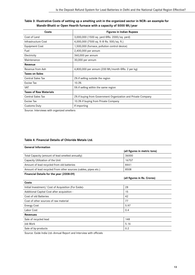#### **Table 3: Illustrative Costs of setting up a smelting unit in the organized sector in NCR—an example for Mandir-Bhatti or Open Hearth furnace with a capacity of 5000 Mt/year**

| Costs                         | <b>Figures in Indian Rupees</b>                               |  |
|-------------------------------|---------------------------------------------------------------|--|
| Cost of Land                  | 3,000,000 (1500 sq. yard @Rs. 2000/sq. yard)                  |  |
| Infrastructure Cost           | 4,000,000 (7500 sq. ft @ Rs. 500/sq. ft.)                     |  |
| <b>Equipment Cost</b>         | 1,500,000 (furnace, pollution control device)                 |  |
| Fuel                          | 2,400,000 per annum                                           |  |
| Electricity                   | 360,000 per annum                                             |  |
| Maintenance                   | 30,000 per annum                                              |  |
| Revenue                       |                                                               |  |
| Revenue from Ash              | 4,800,000 per annum (200 Mt/month @Rs. 2 per kg)              |  |
| <b>Taxes on Sales</b>         |                                                               |  |
| <b>Central Sales Tax</b>      | 2% if selling outside the region                              |  |
| Excise Tax                    | 10.3%                                                         |  |
| <b>VAT</b>                    | 5% if selling within the same region                          |  |
| <b>Taxes of Raw Materials</b> |                                                               |  |
| <b>Central Sales Tax</b>      | 2% if buying from Government Organization and Private Company |  |
| Excise Tax                    | 10.3% if buying from Private Company                          |  |
| Customs Duty                  | If importing                                                  |  |

Source: Interviews with organized smelters

#### **Table 4: Financial Details of Chloride Metals Ltd.**

| <b>General Information</b>                                      |                              |
|-----------------------------------------------------------------|------------------------------|
|                                                                 | (all figures in metric tons) |
| Total Capacity (amount of lead smelted annually)                | 36000                        |
| Capacity Utilization of the Unit                                | 16707                        |
| Amount of lead recycled from old batteries                      | 8441                         |
| Amount of lead recycled From other sources (cables, pipes etc.) | 8508                         |
| Financial Details for the year (2008-09)                        |                              |
|                                                                 | (all figures in Rs. Crores)  |
| Costs                                                           |                              |
| Initial Investment/ Cost of Acquisition (For Exide)-            | 28                           |
| Additional Capital Cost after acquisition -                     | 15                           |
| Cost of old Batteries                                           | 42                           |
| Cost of other sources of raw material                           | 77                           |
| <b>Energy Cost</b>                                              | 5.97                         |
| Labor Cost                                                      | 0.4                          |
| <b>Revenues</b>                                                 |                              |
| Sale of recycled lead                                           | 148                          |
| Job Work                                                        | 5.16                         |
| Sale of by-products                                             | 0.2                          |
|                                                                 |                              |

Source: Exide India Ltd—Annual Report and Interview with officials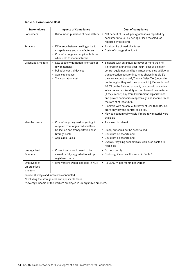#### **Table 5: Compliance Cost**

| <b>Stakeholders</b>                      | <b>Impacts of Compliance</b>                                                                                                                                | <b>Cost of compliance</b>                                                                                                                                                                                                                                                                                                                                                                                                                                                                                                                                                                                                                                                                                                                                                                    |
|------------------------------------------|-------------------------------------------------------------------------------------------------------------------------------------------------------------|----------------------------------------------------------------------------------------------------------------------------------------------------------------------------------------------------------------------------------------------------------------------------------------------------------------------------------------------------------------------------------------------------------------------------------------------------------------------------------------------------------------------------------------------------------------------------------------------------------------------------------------------------------------------------------------------------------------------------------------------------------------------------------------------|
| Consumers                                | • Discount on purchase of new battery                                                                                                                       | • Net benefit of Rs. 44 per kg of lead(as reported by<br>consumers) to Rs. 49 per kg of lead recycled (as<br>reported by retailers)                                                                                                                                                                                                                                                                                                                                                                                                                                                                                                                                                                                                                                                          |
| Retailers                                | • Difference between selling price to<br>scrap dealers and manufacturers<br>• Cost of storage and applicable taxes<br>when sold to manufacturers            | • Rs. 4 per kg of lead plus taxes<br>• Costs of storage significant                                                                                                                                                                                                                                                                                                                                                                                                                                                                                                                                                                                                                                                                                                                          |
| <b>Organized Smelters</b>                | • Low capacity utilization (shortage of<br>raw materials)<br>• Pollution control devices<br>• Applicable taxes<br>• Transportation cost                     | • Smelters with an annual turnover of more than Rs.<br>1.5 crore in a financial year incur : cost of pollution<br>control equipment and its maintenance plus additional<br>transportation cost for inputs(as shown in table 3);<br>they are subject to VAT/Central Sales Tax (depending<br>on the region they sell their product in), Excise duty of<br>10.3% on the finished product; customs duty; central<br>sales tax and excise duty on purchase of raw material<br>(if they import, buy from Government organizations<br>and private companies respectively) and income tax at<br>the rate of at least 30%.<br>• Smelters with an annual turnover of less than Rs. 1.5<br>crore only pay the central sales tax.<br>• May be economically viable if more raw material were<br>available |
| Manufacturers                            | • Cost of recycling lead or getting it<br>recycled from organized smelters<br>• Collection and transportation cost<br>• Storage costs<br>• Applicable Taxes | • As shown in table 4<br>• Small, but could not be ascertained<br>• Could not be ascertained<br>• Could not be ascertained<br>• Overall, recycling economically viable, so costs are<br>negligible                                                                                                                                                                                                                                                                                                                                                                                                                                                                                                                                                                                           |
| Un-organized<br><b>Smelters</b>          | • Current units would need to be<br>closed or fully upgraded to set up<br>registered units                                                                  | • Do not comply<br>• Costs significant as illustrated in Table 3                                                                                                                                                                                                                                                                                                                                                                                                                                                                                                                                                                                                                                                                                                                             |
| Employees of<br>Un-organized<br>smelters | • 840 workers would lose jobs in NCR                                                                                                                        | • Rs. 3000** per month per worker                                                                                                                                                                                                                                                                                                                                                                                                                                                                                                                                                                                                                                                                                                                                                            |

Source: Surveys and Interviews conducted

\*Excluding the storage cost and applicable taxes

\*\*Average income of the workers employed in un-organized smelters.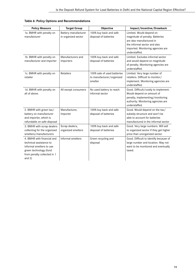| <b>Policy Measure</b>                                                                                                                                  | <b>Target Group</b>                         | Objective                                                           | Impact/Incentive/Drawback                                                                                                                                                     |
|--------------------------------------------------------------------------------------------------------------------------------------------------------|---------------------------------------------|---------------------------------------------------------------------|-------------------------------------------------------------------------------------------------------------------------------------------------------------------------------|
| 1a. BMHR with penalty on<br>manufacturer                                                                                                               | Battery manufacturer<br>in organized sector | 100% buy back and safe<br>disposal of batteries                     | Limited. Would depend on<br>magnitude of penalty. Batteries<br>are also manufactured in<br>the informal sector and also<br>imported. Monitoring agencies are<br>understaffed. |
| 1b. BMHR with penalty on<br>manufacturer and importer                                                                                                  | Manufacturers and<br>Importers              | 100% buy back and safe<br>disposal of batteries                     | Limited. Excludes informal sector<br>and would depend on magnitude<br>of penalty. Monitoring agencies are<br>understaffed.                                                    |
| 1c. BMHR with penalty on<br>retailer                                                                                                                   | <b>Retailers</b>                            | 100% sale of used batteries<br>to manufacturer/organized<br>smelter | Limited. Very large number of<br>retailers. Difficult to monitor/<br>implement. Monitoring agencies are<br>understaffed.                                                      |
| 1d. BMHR with penalty on<br>all of above.                                                                                                              | All except consumers                        | No used battery to reach<br>informal sector                         | Good. Difficult/costly to implement.<br>Would depend on amount of<br>penalty, implementing/monitoring<br>authority. Monitoring agencies are<br>understaffed.                  |
| 2. BMHR with green tax/<br>battery on manufacturer<br>and importer, which is<br>refundable on safe disposal                                            | Manufacturer,<br>Importer                   | 100% buy back and safe<br>disposal of batteries                     | Good. Would depend on the tax/<br>subsidy structure and won't be<br>able to account for batteries<br>manufactured in the informal sector                                      |
| 3. BMHR with scrap dealers<br>collecting for the organized<br>smelters/manufacturers                                                                   | Scrap dealers,<br>organized smelters        | 100% buy back and safe<br>disposal of batteries                     | Good. Very large numbers. Will sell<br>to organized sector if they get higher<br>price than unorganized sector.                                                               |
| 4. BMHR with financial and<br>technical assistance to<br>informal smelters to use<br>green technology (fund<br>from penalty collected in 1<br>and $2)$ | Informal smelters                           | Green recycling and<br>disposal                                     | Good. Difficult to identify because of<br>large number and location. May not<br>want to be monitored and eventually<br>taxed.                                                 |

## **Table 6: Policy Options and Recommendations**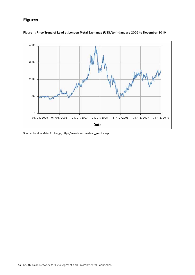## **Figures**



**Figure 1: Price Trend of Lead at London Metal Exchange (US\$/ton) -January 2005 to December 2010**

Source: London Metal Exchange, http//www.lme.com/lead\_graphs.asp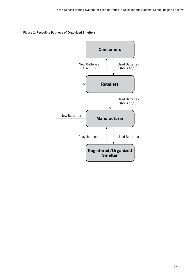#### **Figure 2: Recycling Pathway of Organized Smelters**

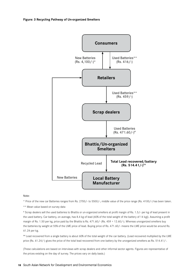

#### Note:

\* Price of the new car Batteries ranges from Rs. 2700/- to 5500/-, middle value of the price range (Rs. 4100/-) has been taken.

\*\* Mean value based on survey data

# Scrap dealers sell the used batteries to Bhattis or un-organized smelters at profit margin of Rs. 1.5/- per kg of lead present in the used battery. Car battery, on average, has 8.4 kg of lead (60% of the total weight of the battery of 14 kg)). Assuming a profit margin of Rs. 1.50 per kg, price paid by the Bhattis is Rs. 471.60/- (Rs. 459 + 12.60/-). Whereas unorganized smelters buy the batteries by weight at 55% of the LME price of lead. Buying price of Rs. 471.60/- means the LME price would be around Rs. 61.24 per kg.

## Lead recovered from a single battery is about 60% of the total weight of the car battery. (Lead recovered multiplied by the LME price (Rs. 61.24/-) gives the price of the total lead recovered from one battery by the unorganized smelters as Rs. 514.41/-.

(These calculations are based on interviews with scrap dealers and other informal sector agents. Figures are representative of the prices existing on the day of survey. The prices vary on daily basis.)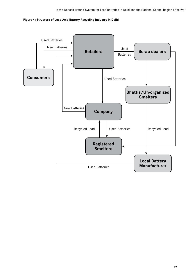

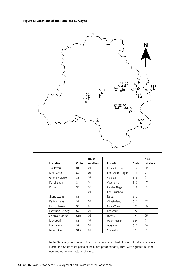#### **Figure 5: Locations of the Retailers Surveyed**



|                       |                 | No. of    |                 |                 | No. of    |
|-----------------------|-----------------|-----------|-----------------|-----------------|-----------|
| Location              | Code            | retailers | Location        | Code            | retailers |
| TisHazari             | S <sub>1</sub>  | 04        | KailashColony   | S <sub>14</sub> | 02        |
| Mori Gate             | S2              | 01        | East Azad Nagar | S <sub>15</sub> | 01        |
| <b>Ghokhle Market</b> | S3              | 09        | Vaishali        | S <sub>16</sub> | 02        |
| Karol Bagh            | S4              | 08        | Vasundhra       | S <sub>17</sub> | 02        |
| Kotla                 | S <sub>5</sub>  | 06        | Pandav Nagar    | S <sub>18</sub> | 01        |
|                       |                 | 04        | East Krishna    |                 | 04        |
| Ihandewalan           | S6              |           | Nagar           | S <sub>19</sub> |           |
| PalikaBhavan          | S7              | 07        | VikashMarg      | S <sub>20</sub> | 02        |
| SarojniNagar          | S <sub>8</sub>  | 03        | MayurVihar      | S <sub>21</sub> | 05        |
| Defence Colony        | S9              | 01        | Badarpur        | S <sub>22</sub> | 01        |
| Shanker Market        | S10             | 02        | Dwarka          | S <sub>23</sub> | 05        |
| Mayapuri              | S <sub>11</sub> | 04        | Uttam Nagar     | S <sub>24</sub> | 01        |
| Hari Nagar            | S <sub>12</sub> | 01        | Gurgaon         | S <sub>25</sub> | 04        |
| RajouriGarden         | S <sub>13</sub> | 01        | Shahadra        | S <sub>26</sub> | 01        |

Note: Sampling was done in the urban areas which had clusters of battery retailers. North and South west parts of Delhi are predominantly rural with agricultural land use and not many battery retailers.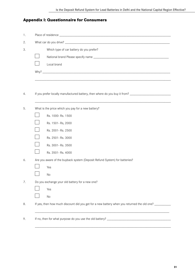## **Appendix I: Questionnaire for Consumers**

| 1. |                                                                                                                |  |  |
|----|----------------------------------------------------------------------------------------------------------------|--|--|
| 2. |                                                                                                                |  |  |
| 3. | Which type of car battery do you prefer?                                                                       |  |  |
|    |                                                                                                                |  |  |
|    | Local brand                                                                                                    |  |  |
|    |                                                                                                                |  |  |
|    |                                                                                                                |  |  |
|    |                                                                                                                |  |  |
|    | If you prefer locally manufactured battery, then where do you buy it from? ___________________________________ |  |  |
|    |                                                                                                                |  |  |
|    | What is the price which you pay for a new battery?                                                             |  |  |
|    | Rs. 1000-Rs. 1500                                                                                              |  |  |
|    | Rs. 1501-Rs, 2000                                                                                              |  |  |
|    | Rs. 2001- Rs. 2500                                                                                             |  |  |
|    | Rs. 2501-Rs. 3000                                                                                              |  |  |
|    | Rs. 3001-Rs. 3500                                                                                              |  |  |
|    | Rs. 3501-Rs. 4000                                                                                              |  |  |
|    | Are you aware of the buyback system (Deposit Refund System) for batteries?                                     |  |  |
|    | Yes                                                                                                            |  |  |
|    | No                                                                                                             |  |  |
|    | Do you exchange your old battery for a new one?                                                                |  |  |
|    | Yes                                                                                                            |  |  |
|    | No                                                                                                             |  |  |
|    | If yes, then how much discount did you get for a new battery when you returned the old one? _______            |  |  |
|    |                                                                                                                |  |  |
| 9. |                                                                                                                |  |  |
|    |                                                                                                                |  |  |

\_\_\_\_\_\_\_\_\_\_\_\_\_\_\_\_\_\_\_\_\_\_\_\_\_\_\_\_\_\_\_\_\_\_\_\_\_\_\_\_\_\_\_\_\_\_\_\_\_\_\_\_\_\_\_\_\_\_\_\_\_\_\_\_\_\_\_\_\_\_\_\_\_\_\_\_\_\_\_\_\_\_\_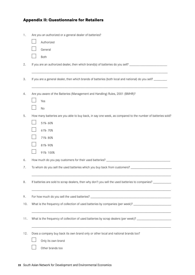## **Appendix II: Questionnaire for Retailers**

| 1.  | Are you an authorized or a general dealer of batteries?                                                        |
|-----|----------------------------------------------------------------------------------------------------------------|
|     | Authorized                                                                                                     |
|     | General                                                                                                        |
|     | Both                                                                                                           |
| 2.  | If you are an authorized dealer, then which brand(s) of batteries do you sell? _______________________________ |
| 3.  | If you are a general dealer, then which brands of batteries (both local and national) do you sell? _______     |
| 4.  | Are you aware of the Batteries (Management and Handling) Rules, 2001 (BMHR)?                                   |
|     | Yes                                                                                                            |
|     | No                                                                                                             |
| 5.  | How many batteries are you able to buy back, in say one week, as compared to the number of batteries sold?     |
|     | 51%-60%                                                                                                        |
|     | 61%-70%                                                                                                        |
|     | 71%-80%                                                                                                        |
|     | 81%-90%                                                                                                        |
|     | 91%-100%                                                                                                       |
| 6.  |                                                                                                                |
| 7.  | To whom do you sell the used batteries which you buy back from customers? _________________________            |
| 8.  | If batteries are sold to scrap dealers, then why don't you sell the used batteries to companies? _________     |
| 9.  |                                                                                                                |
| 10. | What is the frequency of collection of used batteries by companies (per week)? _____________________           |
| 11. | What is the frequency of collection of used batteries by scrap dealers (per week)? _________________           |
| 12. | Does a company buy back its own brand only or other local and national brands too?                             |
|     | Only its own brand                                                                                             |
|     | Other brands too                                                                                               |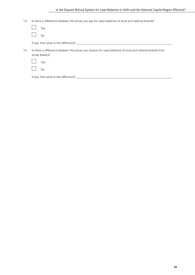13. Is there a difference between the prices you pay for used batteries of local and national brands?

|     | Yes                                                                                                                         |
|-----|-----------------------------------------------------------------------------------------------------------------------------|
|     | No.                                                                                                                         |
|     | If yes, then what is the difference? _____________                                                                          |
| 14. | Is there a difference between the prices you receive for used batteries of local and national brands from<br>scrap dealers? |
|     | Yes                                                                                                                         |
|     | No                                                                                                                          |
|     | If yes, then what is the difference? _________                                                                              |